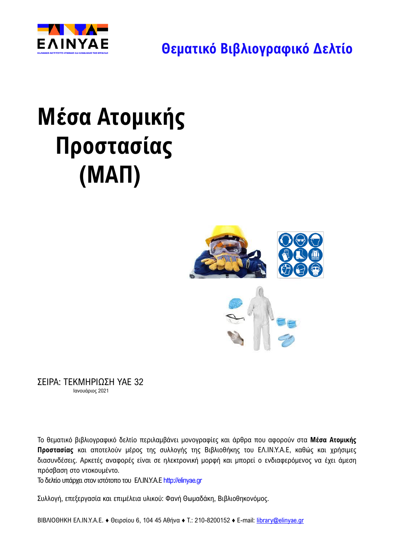

**Θεματικό Βιβλιογραφικό Δελτίο**

# **Μέσα Ατομικής Προστασίας (ΜΑΠ)**



ΣΕΙΡΑ: ΤΕΚΜΗΡΙΩΣΗ ΥΑΕ 32 Ιανουάριος 2021

Το θεματικό βιβλιογραφικό δελτίο περιλαμβάνει μονογραφίες και άρθρα που αφορούν στα **Μέσα Ατομικής Προστασίας** και αποτελούν μέρος της συλλογής της Βιβλιοθήκης του ΕΛ.ΙΝ.Υ.Α.Ε, καθώς και χρήσιμες διασυνδέσεις. Αρκετές αναφορές είναι σε ηλεκτρονική μορφή και μπορεί ο ενδιαφερόμενος να έχει άμεση πρόσβαση στο ντοκουμέντο.

Το δελτίο υπάρχει στoν ιστότοπο του ΕΛ.ΙΝ.Υ.Α.Ε [http://elinyae.gr](http://elinyae.gr/)

Συλλογή, επεξεργασία και επιμέλεια υλικού: Φανή Θωμαδάκη, Βιβλιοθηκονόμος.

ΒΙΒΛΙΟΘΗΚΗ ΕΛ.ΙΝ.Υ.Α.Ε. ♦ Θειρσίου 6, 104 45 Αθήνα ♦ Τ.: 210-8200152 ♦ Ε-mail: [library@elinyae.gr](mailto:library@elinyae.gr)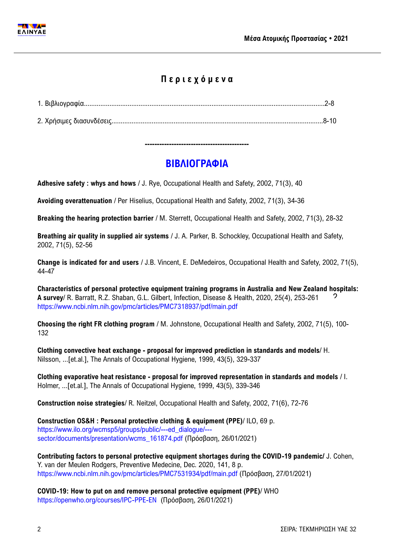

# **Π ε ρ ι ε χ ό μ ε ν α**

# **-------------------------------------------**

# **ΒΙΒΛΙΟΓΡΑΦΙΑ**

**Adhesive safety : whys and hows** / J. Rye, Occupational Health and Safety, 2002, 71(3), 40

**Avoiding overattenuation** / Per Hiselius, Occupational Health and Safety, 2002, 71(3), 34-36

**Breaking the hearing protection barrier** / M. Sterrett, Occupational Health and Safety, 2002, 71(3), 28-32

**Breathing air quality in supplied air systems** / J. A. Parker, B. Schockley, Occupational Health and Safety, 2002, 71(5), 52-56

**Change is indicated for and users** / J.B. Vincent, E. DeMedeiros, Occupational Health and Safety, 2002, 71(5), 44-47

**Characteristics of personal protective equipment training programs in Australia and New Zealand hospitals: A survey**/ R. Barratt, R.Z. Shaban, G.L. Gilbert, Infection, Disease & Health, 2020, 25(4), 253-261 <https://www.ncbi.nlm.nih.gov/pmc/articles/PMC7318937/pdf/main.pdf> 2

**Choosing the right FR clothing program** / M. Johnstone, Occupational Health and Safety, 2002, 71(5), 100- 132

**Clothing convective heat exchange - proposal for improved prediction in standards and models**/ H. Nilsson, ...[et.al.], The Annals of Occupational Hygiene, 1999, 43(5), 329-337

**Clothing evaporative heat resistance - proposal for improved representation in standards and models** / I. Holmer, ...[et.al.], The Annals of Occupational Hygiene, 1999, 43(5), 339-346

**Construction noise strategies**/ R. Neitzel, Occupational Health and Safety, 2002, 71(6), 72-76

**Construction OS&H : Personal protective clothing & equipment (PPE)**/ ILO, 69 p. [https://www.ilo.org/wcmsp5/groups/public/---ed\\_dialogue/--](https://www.ilo.org/wcmsp5/groups/public/---ed_dialogue/---sector/documents/presentation/wcms_161874.pdf) [sector/documents/presentation/wcms\\_161874.pdf](https://www.ilo.org/wcmsp5/groups/public/---ed_dialogue/---sector/documents/presentation/wcms_161874.pdf) (Πρόσβαση, 26/01/2021)

**Contributing factors to personal protective equipment shortages during the COVID-19 pandemic/** J. Cohen, Y. van der Meulen Rodgers, Preventive Medecine, Dec. 2020, 141, 8 p. <https://www.ncbi.nlm.nih.gov/pmc/articles/PMC7531934/pdf/main.pdf> (Πρόσβαση, 27/01/2021)

**COVID-19: How to put on and remove personal protective equipment (PPE)**/ WHO <https://openwho.org/courses/IPC-PPE-EN>(Πρόσβαση, 26/01/2021)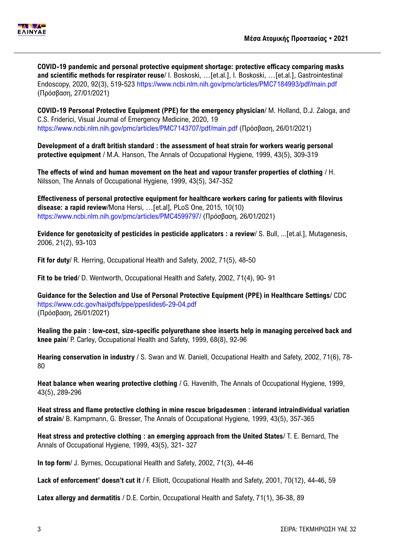

**COVID-19 pandemic and personal protective equipment shortage: protective efficacy comparing masks and scientific methods for respirator reuse**/ I. Boskoski, …[et.al.], I. Boskoski, …[et.al.], Gastrointestinal Endoscopy, 2020, 92(3), 519-523<https://www.ncbi.nlm.nih.gov/pmc/articles/PMC7184993/pdf/main.pdf> (Πρόσβαση, 27/01/2021)

**COVID-19 Personal Protective Equipment (PPE) for the emergency physician**/ M. Holland, D.J. Zaloga, and C.S. Friderici, Visual Journal of Emergency Medicine, 2020, 19 <https://www.ncbi.nlm.nih.gov/pmc/articles/PMC7143707/pdf/main.pdf> (Πρόσβαση, 26/01/2021)

**Development of a draft british standard : the assessment of heat strain for workers wearig personal protective equipment** / M.A. Hanson, The Annals of Occupational Hygiene, 1999, 43(5), 309-319

**The effects of wind and human movement on the heat and vapour transfer properties of clothing** / H. Nilsson, The Annals of Occupational Hygiene, 1999, 43(5), 347-352

**Effectiveness of personal protective equipment for healthcare workers caring for patients with filovirus disease: a rapid review**/Mona Hersi, …[et.al], PLoS One, 2015, 10(10) <https://www.ncbi.nlm.nih.gov/pmc/articles/PMC4599797/> (Πρόσβαση, 26/01/2021)

**Evidence for genotoxicity of pesticides in pesticide applicators : a review**/ S. Bull, ...[et.al.], Mutagenesis, 2006, 21(2), 93-103

**Fit for duty**/ R. Herring, Occupational Health and Safety, 2002, 71(5), 48-50

**Fit to be tried**/ D. Wentworth, Occupational Health and Safety, 2002, 71(4), 90- 91

**Guidance for the Selection and Use of Personal Protective Equipment (PPE) in Healthcare Settings**/ CDC <https://www.cdc.gov/hai/pdfs/ppe/ppeslides6-29-04.pdf> (Πρόσβαση, 26/01/2021)

**Healing the pain : low-cost, size-specific polyurethane shoe inserts help in managing perceived back and knee pain**/ P. Carley, Occupational Health and Safety, 1999, 68(8), 92-96

**Hearing conservation in industry** / S. Swan and W. Daniell, Occupational Health and Safety, 2002, 71(6), 78- 80

**Heat balance when wearing protective clothing** / G. Havenith, The Annals of Occupational Hygiene, 1999, 43(5), 289-296

**Heat stress and flame protective clothing in mine rescue brigadesmen : interand intraindividual variation of strain**/ B. Kampmann, G. Bresser, The Annals of Occupational Hygiene, 1999, 43(5), 357-365

**Heat stress and protective clothing : an emerging approach from the United States**/ T. E. Bernard, The Annals of Occupational Hygiene, 1999, 43(5), 321- 327

**In top form**/ J. Byrnes, Occupational Health and Safety, 2002, 71(3), 44-46

**Lack of enforcement' doesn't cut it** / F. Elliott, Occupational Health and Safety, 2001, 70(12), 44-46, 59

**Latex allergy and dermatitis** / D.E. Corbin, Occupational Health and Safety, 71(1), 36-38, 89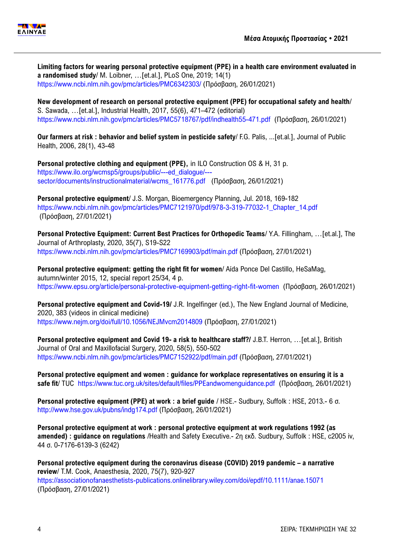

**Limiting factors for wearing personal protective equipment (PPE) in a health care environment evaluated in a randomised study**/ M. Loibner, …[et.al.], PLoS One, 2019; 14(1) <https://www.ncbi.nlm.nih.gov/pmc/articles/PMC6342303/> (Πρόσβαση, 26/01/2021)

**New development of research on personal protective equipment (PPE) for occupational safety and health**/ S. Sawada, …[et.al.], Industrial Health, 2017, 55(6), 471–472 (editorial) <https://www.ncbi.nlm.nih.gov/pmc/articles/PMC5718767/pdf/indhealth55-471.pdf> (Πρόσβαση, 26/01/2021)

**Our farmers at risk : behavior and belief system in pesticide safety**/ F.G. Palis, ...[et.al.], Journal of Public Health, 2006, 28(1), 43-48

**Personal protective clothing and equipment (PPE),** in ILO Construction OS & H, 31 p. [https://www.ilo.org/wcmsp5/groups/public/---ed\\_dialogue/--](https://www.ilo.org/wcmsp5/groups/public/---ed_dialogue/---sector/documents/instructionalmaterial/wcms_161776.pdf) [sector/documents/instructionalmaterial/wcms\\_161776.pdf](https://www.ilo.org/wcmsp5/groups/public/---ed_dialogue/---sector/documents/instructionalmaterial/wcms_161776.pdf) (Πρόσβαση, 26/01/2021)

**Personal protective equipment**/ J.S. Morgan, Bioemergency Planning, Jul. 2018, 169-182 [https://www.ncbi.nlm.nih.gov/pmc/articles/PMC7121970/pdf/978-3-319-77032-1\\_Chapter\\_14.pdf](https://www.ncbi.nlm.nih.gov/pmc/articles/PMC7121970/pdf/978-3-319-77032-1_Chapter_14.pdf) (Πρόσβαση, 27/01/2021)

**Personal Protective Equipment: Current Best Practices for Orthopedic Teams**/ Y.A. Fillingham, …[et.al.], The Journal of Arthroplasty, 2020, 35(7), S19-S22 <https://www.ncbi.nlm.nih.gov/pmc/articles/PMC7169903/pdf/main.pdf> (Πρόσβαση, 27/01/2021)

**Personal protective equipment: getting the right fit for women**/ Aída Ponce Del Castillo, HeSaMag, autumn/winter 2015, 12, special report 25/34, 4 p. <https://www.epsu.org/article/personal-protective-equipment-getting-right-fit-women>(Πρόσβαση, 26/01/2021)

**Personal protective equipment and Covid-19/** J.R. Ingelfinger (ed.), The New England Journal of Medicine, 2020, 383 (videos in clinical medicine) <https://www.nejm.org/doi/full/10.1056/NEJMvcm2014809> (Πρόσβαση, 27/01/2021)

**Personal protective equipment and Covid 19- a risk to healthcare staff?/** [J.B.T. Herron,](https://www.ncbi.nlm.nih.gov/pubmed/?term=Herron%20J%5BAuthor%5D&cauthor=true&cauthor_uid=32307130) …[et.al.], British Journal of Oral and Maxillofacial Surgery, 2020, 58(5), 550-502 <https://www.ncbi.nlm.nih.gov/pmc/articles/PMC7152922/pdf/main.pdf> (Πρόσβαση, 27/01/2021)

**Personal protective equipment and women : guidance for workplace representatives on ensuring it is a safe fit**/ TUC <https://www.tuc.org.uk/sites/default/files/PPEandwomenguidance.pdf> (Πρόσβαση, 26/01/2021)

**Personal protective equipment (PPE) at work : a brief guide** / HSE.- Sudbury, Suffolk : HSE, 2013.- 6 σ. <http://www.hse.gov.uk/pubns/indg174.pdf> (Πρόσβαση, 26/01/2021)

**Personal protective equipment at work : personal protective equipment at work regulations 1992 (as amended) : guidance on regulations** /Health and Safety Executive.- 2η εκδ. Sudbury, Suffolk : HSE, c2005 iv, 44 σ. 0-7176-6139-3 (6242)

**Personal protective equipment during the coronavirus disease (COVID) 2019 pandemic – a narrative review**/ T.M. Cook, Anaesthesia, 2020, 75(7), 920-927 <https://associationofanaesthetists-publications.onlinelibrary.wiley.com/doi/epdf/10.1111/anae.15071> (Πρόσβαση, 27/01/2021)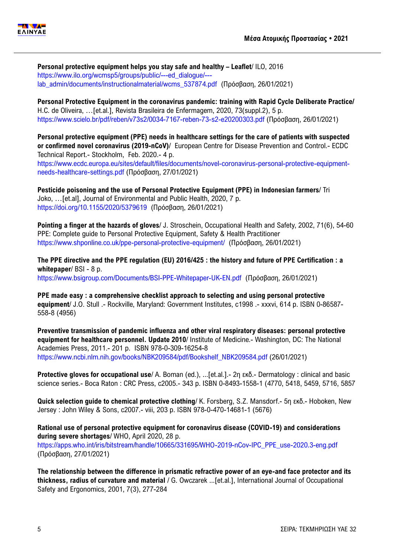**Personal protective equipment helps you stay safe and healthy – Leaflet**/ ILO, 2016 [https://www.ilo.org/wcmsp5/groups/public/---ed\\_dialogue/--](https://www.ilo.org/wcmsp5/groups/public/---ed_dialogue/---lab_admin/documents/instructionalmaterial/wcms_537874.pdf) [lab\\_admin/documents/instructionalmaterial/wcms\\_537874.pdf](https://www.ilo.org/wcmsp5/groups/public/---ed_dialogue/---lab_admin/documents/instructionalmaterial/wcms_537874.pdf) (Πρόσβαση, 26/01/2021)

**Personal Protective Equipment in the coronavirus pandemic: training with Rapid Cycle Deliberate Practice/**  H.C. de Oliveira, …[et.al.], Revista Brasileira de Enfermagem, 2020, 73(suppl.2), 5 p. <https://www.scielo.br/pdf/reben/v73s2/0034-7167-reben-73-s2-e20200303.pdf> (Πρόσβαση, 26/01/2021)

**Personal protective equipment (PPE) needs in healthcare settings for the care of patients with suspected or confirmed novel coronavirus (2019-nCoV)**/ European Centre for Disease Prevention and Control.- ECDC Technical Report.- Stockholm, Feb. 2020.- 4 p.

[https://www.ecdc.europa.eu/sites/default/files/documents/novel-coronavirus-personal-protective-equipment](https://www.ecdc.europa.eu/sites/default/files/documents/novel-coronavirus-personal-protective-equipment-needs-healthcare-settings.pdf)[needs-healthcare-settings.pdf](https://www.ecdc.europa.eu/sites/default/files/documents/novel-coronavirus-personal-protective-equipment-needs-healthcare-settings.pdf) (Πρόσβαση, 27/01/2021)

**Pesticide poisoning and the use of Personal Protective Equipment (PPE) in Indonesian farmers**/ Tri Joko, …[et.al], Journal of Environmental and Public Health, 2020, 7 p. <https://doi.org/10.1155/2020/5379619> (Πρόσβαση, 26/01/2021)

**Pointing a finger at the hazards of gloves**/ J. Stroschein, Occupational Health and Safety, 2002, 71(6), 54-60 PPE: Complete guide to Personal Protective Equipment, Safety & Health Practitioner <https://www.shponline.co.uk/ppe-personal-protective-equipment/> (Πρόσβαση, 26/01/2021)

**The PPE directive and the PPE regulation (EU) 2016/425 : the history and future of PPE Certification : a whitepaper**/ BSI - 8 p. <https://www.bsigroup.com/Documents/BSI-PPE-Whitepaper-UK-EN.pdf>(Πρόσβαση, 26/01/2021)

**PPE made easy : a comprehensive checklist approach to selecting and using personal protective equipment**/ J.O. Stull .- Rockville, Maryland: Government Institutes, c1998 .- xxxvi, 614 p. ISBN 0-86587- 558-8 (4956)

**Preventive transmission of pandemic influenza and other viral respiratory diseases: personal protective equipment for healthcare personnel. Update 2010**/ Institute of Medicine.- Washington, DC: The National Academies Press, 2011.- 201 p. ISBN 978-0-309-16254-8 [https://www.ncbi.nlm.nih.gov/books/NBK209584/pdf/Bookshelf\\_NBK209584.pdf](https://www.ncbi.nlm.nih.gov/books/NBK209584/pdf/Bookshelf_NBK209584.pdf) (26/01/2021)

**Protective gloves for occupational use**/ A. Boman (ed.), ...[et.al.].- 2η εκδ.- Dermatology : clinical and basic science series.- Boca Raton : CRC Press, c2005.- 343 p. ISBN 0-8493-1558-1 (4770, 5418, 5459, 5716, 5857

**Quick selection guide to chemical protective clothing**/ K. Forsberg, S.Z. Mansdorf.- 5η εκδ.- Hoboken, New Jersey : John Wiley & Sons, c2007.- viii, 203 p. ISBN 978-0-470-14681-1 (5676)

**Rational use of personal protective equipment for coronavirus disease (COVID-19) and considerations during severe shortages**/ WHO, April 2020, 28 p. [https://apps.who.int/iris/bitstream/handle/10665/331695/WHO-2019-nCov-IPC\\_PPE\\_use-2020.3-eng.pdf](https://apps.who.int/iris/bitstream/handle/10665/331695/WHO-2019-nCov-IPC_PPE_use-2020.3-eng.pdf) (Πρόσβαση, 27/01/2021)

**The relationship between the difference in prismatic refractive power of an eye-and face protector and its thickness, radius of curvature and material** / G. Owczarek ...[et.al.], International Journal of Occupational Safety and Ergonomics, 2001, 7(3), 277-284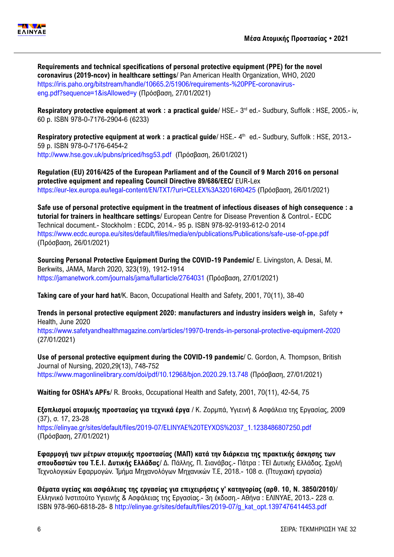

**Requirements and technical specifications of personal protective equipment (PPE) for the novel coronavirus (2019-ncov) in healthcare settings**/ Pan American Health Organization, WHO, 2020 [https://iris.paho.org/bitstream/handle/10665.2/51906/requirements-%20PPE-coronavirus](https://iris.paho.org/bitstream/handle/10665.2/51906/requirements-%20PPE-coronavirus-eng.pdf?sequence=1&isAllowed=y)[eng.pdf?sequence=1&isAllowed=y](https://iris.paho.org/bitstream/handle/10665.2/51906/requirements-%20PPE-coronavirus-eng.pdf?sequence=1&isAllowed=y) (Πρόσβαση, 27/01/2021)

Respiratory protective equipment at work : a practical guide/ HSE.- 3<sup>rd</sup> ed.- Sudbury, Suffolk : HSE, 2005.- iv, 60 p. ISBN 978-0-7176-2904-6 (6233)

Respiratory protective equipment at work : a practical guide/ HSE.- 4<sup>th</sup> ed.- Sudbury, Suffolk : HSE, 2013.-59 p. ISBN 978-0-7176-6454-2 <http://www.hse.gov.uk/pubns/priced/hsg53.pdf> (Πρόσβαση, 26/01/2021)

**Regulation (EU) 2016/425 of the European Parliament and of the Council of 9 March 2016 on personal protective equipment and repealing Council Directive 89/686/EEC/** EUR-Lex <https://eur-lex.europa.eu/legal-content/EN/TXT/?uri=CELEX%3A32016R0425> (Πρόσβαση, 26/01/2021)

**Safe use of personal protective equipment in the treatment of infectious diseases of high consequence : a tutorial for trainers in healthcare settings**/ European Centre for Disease Prevention & Control.- ECDC Technical document.- Stockholm : ECDC, 2014.- 95 p. ISBN 978-92-9193-612-0 2014 <https://www.ecdc.europa.eu/sites/default/files/media/en/publications/Publications/safe-use-of-ppe.pdf> (Πρόσβαση, 26/01/2021)

**Sourcing Personal Protective Equipment During the COVID-19 Pandemic/** E. Livingston, A. Desai, M. Berkwits, JAMA, March 2020, 323(19), 1912-1914 <https://jamanetwork.com/journals/jama/fullarticle/2764031> (Πρόσβαση, 27/01/2021)

**Taking care of your hard hat**/K. Bacon, Occupational Health and Safety, 2001, 70(11), 38-40

**Trends in personal protective equipment 2020: manufacturers and industry insiders weigh in,** Safety + Health, June 2020

<https://www.safetyandhealthmagazine.com/articles/19970-trends-in-personal-protective-equipment-2020> (27/01/2021)

**Use of personal protective equipment during the COVID-19 pandemic**/ C. Gordon, A. Thompson, British Journal of Nursing, 2020,29(13), 748-752 <https://www.magonlinelibrary.com/doi/pdf/10.12968/bjon.2020.29.13.748> (Πρόσβαση, 27/01/2021)

**Waiting for OSHA's APFs**/ R. Brooks, Occupational Health and Safety, 2001, 70(11), 42-54, 75

**Εξοπλισμοί ατομικής προστασίας για τεχνικά έργα** / Κ. Ζορμπά, Υγιεινή & Ασφάλεια της Εργασίας, 2009 (37), σ. 17, 23-28 [https://elinyae.gr/sites/default/files/2019-07/ELINYAE%20TEYXOS%2037\\_1.1238486807250.pdf](https://elinyae.gr/sites/default/files/2019-07/ELINYAE%20TEYXOS%2037_1.1238486807250.pdf) (Πρόσβαση, 27/01/2021)

**Εφαρμογή των μέτρων ατομικής προστασίας (ΜΑΠ) κατά την διάρκεια της πρακτικής άσκησης των σπουδαστών του Τ.Ε.Ι. Δυτικής Ελλάδας**/ Δ. Πάλλης, Π. Σιανάβας.- Πάτρα : ΤΕΙ Δυτικής Ελλάδας. Σχολή Τεχνολογικών Εφαρμογών. Τμήμα Μηχανολόγων Μηχανικών Τ.Ε, 2018.- 108 σ. (Πτυχιακή εργασία)

**Θέματα υγείας και ασφάλειας της εργασίας για επιχειρήσεις γ' κατηγορίας (αρθ. 10, Ν. 3850/2010)**/ Ελληνικό Ινστιτούτο Υγιεινής & Ασφάλειας της Εργασίας.- 3η έκδοση.- Αθήνα : ΕΛΙΝΥΑΕ, 2013.- 228 σ. ISBN 978-960-6818-28- 8 [http://elinyae.gr/sites/default/files/2019-07/g\\_kat\\_opt.1397476414453.pdf](http://elinyae.gr/sites/default/files/2019-07/g_kat_opt.1397476414453.pdf)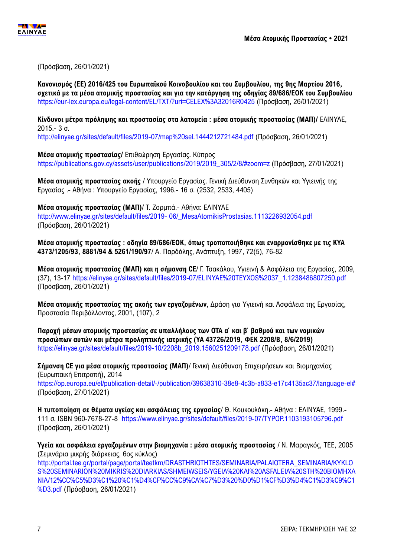

(Πρόσβαση, 26/01/2021)

**Κανονισμός (ΕΕ) 2016/425 του Ευρωπαϊκού Κοινοβουλίου και του Συμβουλίου, της 9ης Μαρτίου 2016, σχετικά με τα μέσα ατομικής προστασίας και για την κατάργηση της οδηγίας 89/686/ΕΟΚ του Συμβουλίου** <https://eur-lex.europa.eu/legal-content/EL/TXT/?uri=CELEX%3A32016R0425> (Πρόσβαση, 26/01/2021)

**Κίνδυνοι μέτρα πρόληψης και προστασίας στα λατομεία : μέσα ατομικής προστασίας (ΜΑΠ)/** ΕΛΙΝΥΑΕ, 2015.- 3 σ.

<http://elinyae.gr/sites/default/files/2019-07/map%20sel.1444212721484.pdf> (Πρόσβαση, 26/01/2021)

**Μέσα ατομικής προστασίας/** Επιθεώρηση Εργασίας. Κύπρος

[https://publications.gov.cy/assets/user/publications/2019/2019\\_305/2/8/#zoom=z](https://publications.gov.cy/assets/user/publications/2019/2019_305/2/8/#zoom=z) (Πρόσβαση, 27/01/2021)

**Μέσα ατομικής προστασίας ακοής** / Υπουργείο Εργασίας. Γενική Διεύθυνση Συνθηκών και Υγιεινής της Εργασίας .- Αθήνα : Υπουργείο Εργασίας, 1996.- 16 σ. (2532, 2533, 4405)

**Μέσα ατομικής προστασίας (ΜΑΠ)**/ Τ. Ζορμπά.- Αθήνα: ΕΛΙΝΥΑΕ

http://www.elinyae.gr/sites/default/files/2019- [06/\\_MesaAtomikisProstasias.1113226932054.pdf](http://www.elinyae.gr/sites/default/files/2019-%2006/_MesaAtomikisProstasias.1113226932054.pdf) (Πρόσβαση, 26/01/2021)

**Μέσα ατομικής προστασίας : οδηγία 89/686/ΕΟΚ, όπως τροποποιήθηκε και εναρμονίσθηκε με τις ΚΥΑ 4373/1205/93, 8881/94 & 5261/190/97**/ Α. Παρδάλης, Ανάπτυξη, 1997, 72(5), 76-82

**Μέσα ατομικής προστασίας (ΜΑΠ) και η σήμανση CE**/ Γ. Τσακάλου, Υγιεινή & Ασφάλεια της Εργασίας, 2009, (37), 13-17 [https://elinyae.gr/sites/default/files/2019-07/ELINYAE%20TEYXOS%2037\\_1.1238486807250.pdf](https://elinyae.gr/sites/default/files/2019-07/ELINYAE%20TEYXOS%2037_1.1238486807250.pdf) (Πρόσβαση, 26/01/2021)

**Μέσα ατομικής προστασίας της ακοής των εργαζομένων**, Δράση για Yγιεινή και Aσφάλεια της Εργασίας, Προστασία Περιβάλλοντος, 2001, (107), 2

**Παροχή μέσων ατομικής προστασίας σε υπαλλήλους των OTA α ́ και β ́ βαθμού και των νομικών προσώπων αυτών και μέτρα προληπτικής ιατρικής (ΥΑ 43726/2019, ΦΕΚ 2208/Β, 8/6/2019)** [https://elinyae.gr/sites/default/files/2019-10/2208b\\_2019.1560251209178.pdf](https://elinyae.gr/sites/default/files/2019-10/2208b_2019.1560251209178.pdf) (Πρόσβαση, 26/01/2021)

**Σήμανση CE για μέσα ατομικής προστασίας (ΜΑΠ)**/ Γενική Διεύθυνση Επιχειρήσεων και Βιομηχανίας (Ευρωπαική Επιτροπή), 2014 [https://op.europa.eu/el/publication-detail/-/publication/39638310-38e8-4c3b-a833-e17c4135ac37/language-el#](https://op.europa.eu/el/publication-detail/-/publication/39638310-38e8-4c3b-a833-e17c4135ac37/language-el) (Πρόσβαση, 27/01/2021)

**Η τυποποίηση σε θέματα υγείας και ασφάλειας της εργασίας**/ Θ. Κουκουλάκη.- Αθήνα : ΕΛΙΝΥΑΕ, 1999.- 111 σ. ISBN 960-7678-27-8 <https://www.elinyae.gr/sites/default/files/2019-07/TYPOP.1103193105796.pdf> (Πρόσβαση, 26/01/2021)

**Υγεία και ασφάλεια εργαζομένων στην βιομηχανία : μέσα ατομικής προστασίας** / Ν. Μαραγκός, ΤΕΕ, 2005 (Σεμινάρια μικρής διάρκειας, 6ος κύκλος) [http://portal.tee.gr/portal/page/portal/teetkm/DRASTHRIOTHTES/SEMINARIA/PALAIOTERA\\_SEMINARIA/KYKLO](http://portal.tee.gr/portal/page/portal/teetkm/DRASTHRIOTHTES/SEMINARIA/PALAIOTERA_SEMINARIA/KYKLOS%20SEMINARION%20MIKRIS%20DIARKIAS/SHMEIWSEIS/YGEIA%20KAI%20ASFALEIA%20STH%20BIOMHXANIA/12%CC%C5%D3%C1%20%C1%D4%CF%CC%C9%CA%C7%D3%20%D0%D1%CF%D3%D4%C1%D3%C9%C1%D3.pdf) [S%20SEMINARION%20MIKRIS%20DIARKIAS/SHMEIWSEIS/YGEIA%20KAI%20ASFALEIA%20STH%20BIOMHXA](http://portal.tee.gr/portal/page/portal/teetkm/DRASTHRIOTHTES/SEMINARIA/PALAIOTERA_SEMINARIA/KYKLOS%20SEMINARION%20MIKRIS%20DIARKIAS/SHMEIWSEIS/YGEIA%20KAI%20ASFALEIA%20STH%20BIOMHXANIA/12%CC%C5%D3%C1%20%C1%D4%CF%CC%C9%CA%C7%D3%20%D0%D1%CF%D3%D4%C1%D3%C9%C1%D3.pdf) [NIA/12%CC%C5%D3%C1%20%C1%D4%CF%CC%C9%CA%C7%D3%20%D0%D1%CF%D3%D4%C1%D3%C9%C1](http://portal.tee.gr/portal/page/portal/teetkm/DRASTHRIOTHTES/SEMINARIA/PALAIOTERA_SEMINARIA/KYKLOS%20SEMINARION%20MIKRIS%20DIARKIAS/SHMEIWSEIS/YGEIA%20KAI%20ASFALEIA%20STH%20BIOMHXANIA/12%CC%C5%D3%C1%20%C1%D4%CF%CC%C9%CA%C7%D3%20%D0%D1%CF%D3%D4%C1%D3%C9%C1%D3.pdf) [%D3.pdf](http://portal.tee.gr/portal/page/portal/teetkm/DRASTHRIOTHTES/SEMINARIA/PALAIOTERA_SEMINARIA/KYKLOS%20SEMINARION%20MIKRIS%20DIARKIAS/SHMEIWSEIS/YGEIA%20KAI%20ASFALEIA%20STH%20BIOMHXANIA/12%CC%C5%D3%C1%20%C1%D4%CF%CC%C9%CA%C7%D3%20%D0%D1%CF%D3%D4%C1%D3%C9%C1%D3.pdf) (Πρόσβαση, 26/01/2021)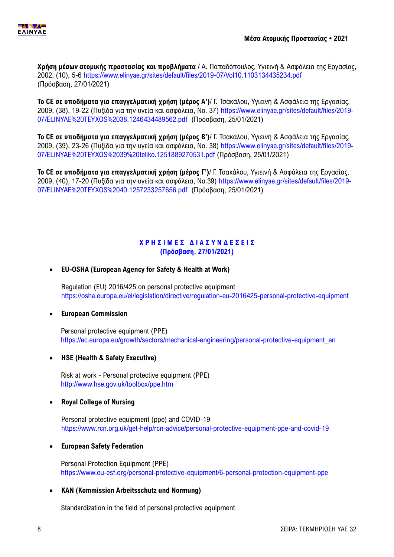**Χρήση μέσων ατομικής προστασίας και προβλήματα** / Α. Παπαδόπουλος, Υγιεινή & Ασφάλεια της Εργασίας, 2002, (10), 5-6<https://www.elinyae.gr/sites/default/files/2019-07/Vol10.1103134435234.pdf> (Πρόσβαση, 27/01/2021)

**Το CE σε υποδήματα για επαγγελματική χρήση (μέρος Α')**/ Γ. Τσακάλου, Υγιεινή & Ασφάλεια της Εργασίας, 2009, (38), 19-22 (Πυξίδα για την υγεία και ασφάλεια, Νο. 37) [https://www.elinyae.gr/sites/default/files/2019-](https://www.elinyae.gr/sites/default/files/2019-07/ELINYAE%20TEYXOS%2038.1246434489562.pdf) [07/ELINYAE%20TEYXOS%2038.1246434489562.pdf](https://www.elinyae.gr/sites/default/files/2019-07/ELINYAE%20TEYXOS%2038.1246434489562.pdf) (Πρόσβαση, 25/01/2021)

**Το CE σε υποδήματα για επαγγελματική χρήση (μέρος Β')**/ Γ. Τσακάλου, Υγιεινή & Ασφάλεια της Εργασίας, 2009, (39), 23-26 (Πυξίδα για την υγεία και ασφάλεια, Νο. 38) [https://www.elinyae.gr/sites/default/files/2019-](https://www.elinyae.gr/sites/default/files/2019-07/ELINYAE%20TEYXOS%2039%20teliko.1251889270531.pdf) [07/ELINYAE%20TEYXOS%2039%20teliko.1251889270531.pdf](https://www.elinyae.gr/sites/default/files/2019-07/ELINYAE%20TEYXOS%2039%20teliko.1251889270531.pdf) (Πρόσβαση, 25/01/2021)

**Το CE σε υποδήματα για επαγγελματική χρήση (μέρος Γ')**/ Γ. Τσακάλου, Υγιεινή & Ασφάλεια της Εργασίας, 2009, (40), 17-20 (Πυξίδα για την υγεία και ασφάλεια, Νο.39) [https://www.elinyae.gr/sites/default/files/2019-](https://www.elinyae.gr/sites/default/files/2019-07/ELINYAE%20TEYXOS%2040.1257233257656.pdf) [07/ELINYAE%20TEYXOS%2040.1257233257656.pdf](https://www.elinyae.gr/sites/default/files/2019-07/ELINYAE%20TEYXOS%2040.1257233257656.pdf) (Πρόσβαση, 25/01/2021)

# **Χ Ρ Η Σ Ι Μ Ε Σ Δ Ι Α Σ Υ Ν Δ Ε Σ Ε Ι Σ (Πρόσβαση, 27/01/2021)**

# **EU-OSHA (European Agency for Safety & Health at Work)**

Regulation (EU) 2016/425 on personal protective equipment <https://osha.europa.eu/el/legislation/directive/regulation-eu-2016425-personal-protective-equipment>

#### **European Commission**

Personal protective equipment (PPE) [https://ec.europa.eu/growth/sectors/mechanical-engineering/personal-protective-equipment\\_en](https://ec.europa.eu/growth/sectors/mechanical-engineering/personal-protective-equipment_en)

#### **HSE (Health & Safety Executive)**

Risk at work - Personal protective equipment (PPE) <http://www.hse.gov.uk/toolbox/ppe.htm>

# **Royal College of Nursing**

Personal protective equipment (ppe) and COVID-19 <https://www.rcn.org.uk/get-help/rcn-advice/personal-protective-equipment-ppe-and-covid-19>

#### **European Safety Federation**

Personal Protection Equipment (PPE) <https://www.eu-esf.org/personal-protective-equipment/6-personal-protection-equipment-ppe>

# **KAN (Kommission Arbeitsschutz und Normung)**

Standardization in the field of personal protective equipment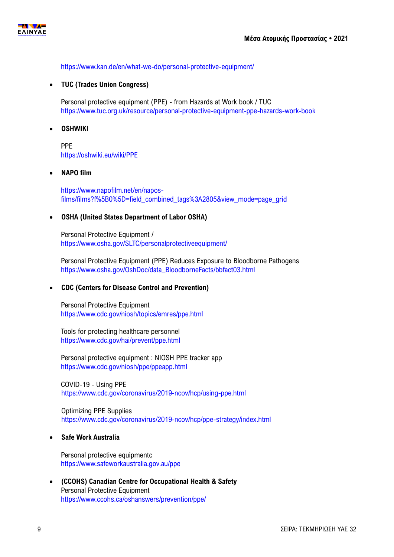

<https://www.kan.de/en/what-we-do/personal-protective-equipment/>

## **TUC (Trades Union Congress)**

Personal protective equipment (PPE) - from Hazards at Work book / TUC <https://www.tuc.org.uk/resource/personal-protective-equipment-ppe-hazards-work-book>

## **OSHWIKI**

PPE <https://oshwiki.eu/wiki/PPE>

#### **NAPO film**

[https://www.napofilm.net/en/napos](https://www.napofilm.net/en/napos-films/films?f%5B0%5D=field_combined_tags%3A2805&view_mode=page_grid)[films/films?f%5B0%5D=field\\_combined\\_tags%3A2805&view\\_mode=page\\_grid](https://www.napofilm.net/en/napos-films/films?f%5B0%5D=field_combined_tags%3A2805&view_mode=page_grid)

## **OSHA (United States Department of Labor OSHA)**

Personal Protective Equipment / <https://www.osha.gov/SLTC/personalprotectiveequipment/>

Personal Protective Equipment (PPE) Reduces Exposure to Bloodborne Pathogens [https://www.osha.gov/OshDoc/data\\_BloodborneFacts/bbfact03.html](https://www.osha.gov/OshDoc/data_BloodborneFacts/bbfact03.html)

#### **CDC (Centers for Disease Control and Prevention)**

Personal Protective Equipment <https://www.cdc.gov/niosh/topics/emres/ppe.html>

Tools for protecting healthcare personnel <https://www.cdc.gov/hai/prevent/ppe.html>

Personal protective equipment : NIOSH PPE tracker app <https://www.cdc.gov/niosh/ppe/ppeapp.html>

COVID-19 - Using PPE <https://www.cdc.gov/coronavirus/2019-ncov/hcp/using-ppe.html>

Optimizing PPE Supplies <https://www.cdc.gov/coronavirus/2019-ncov/hcp/ppe-strategy/index.html>

# **Safe Work Australia**

Personal protective equipmentc <https://www.safeworkaustralia.gov.au/ppe>

 **(CCOHS) Canadian Centre for Occupational Health & Safety**  Personal Protective Equipment <https://www.ccohs.ca/oshanswers/prevention/ppe/>